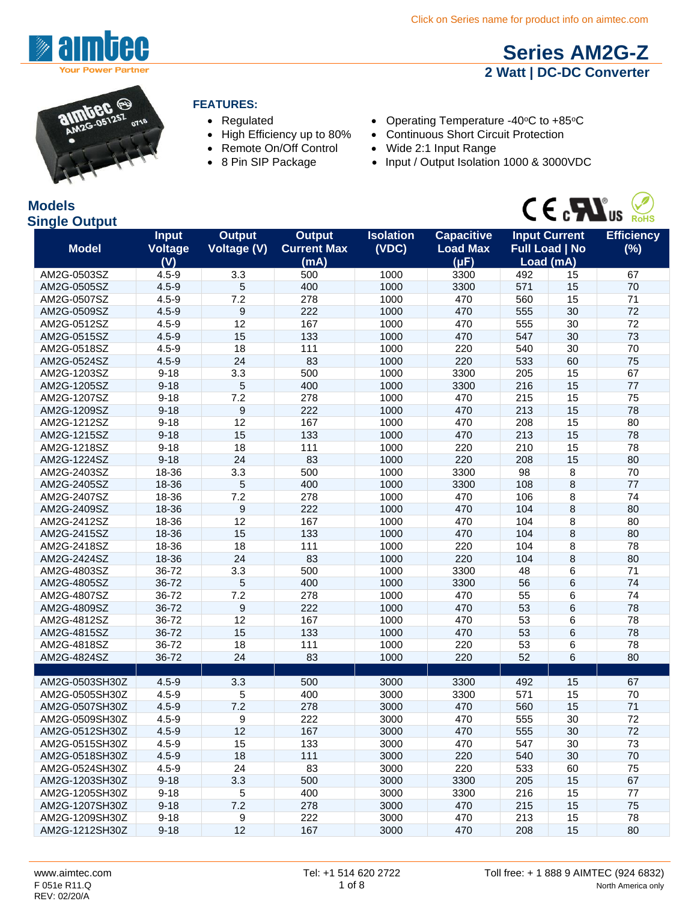



**Models**

#### **FEATURES:**

- 
- 
- Remote On/Off Control Wide 2:1 Input Range
- 
- Regulated Operating Temperature -40°C to +85°C
- High Efficiency up to 80% Continuous Short Circuit Protection
	-
- 8 Pin SIP Package Input / Output Isolation 1000 & 3000VDC



**[Series AM2G-Z](http://www.aimtec.com/am1d-z) 2 Watt | DC-DC Converter**

| <b>Single Output</b> |                                       |                                     |                                             |                           |                                                   |     | $\sim$ $\sim$ $\sim$ $\sim$ $\sim$ $\sim$                  | <b>RoHS</b>              |
|----------------------|---------------------------------------|-------------------------------------|---------------------------------------------|---------------------------|---------------------------------------------------|-----|------------------------------------------------------------|--------------------------|
| <b>Model</b>         | <b>Input</b><br><b>Voltage</b><br>(V) | <b>Output</b><br><b>Voltage (V)</b> | <b>Output</b><br><b>Current Max</b><br>(mA) | <b>Isolation</b><br>(VDC) | <b>Capacitive</b><br><b>Load Max</b><br>$(\mu F)$ |     | <b>Input Current</b><br><b>Full Load   No</b><br>Load (mA) | <b>Efficiency</b><br>(%) |
| AM2G-0503SZ          | $4.5 - 9$                             | 3.3                                 | 500                                         | 1000                      | 3300                                              | 492 | 15                                                         | 67                       |
| AM2G-0505SZ          | $4.5 - 9$                             | 5                                   | 400                                         | 1000                      | 3300                                              | 571 | 15                                                         | 70                       |
| AM2G-0507SZ          | $4.5 - 9$                             | 7.2                                 | 278                                         | 1000                      | 470                                               | 560 | 15                                                         | 71                       |
| AM2G-0509SZ          | $4.5 - 9$                             | 9                                   | 222                                         | 1000                      | 470                                               | 555 | 30                                                         | 72                       |
| AM2G-0512SZ          | $4.5 - 9$                             | 12                                  | 167                                         | 1000                      | 470                                               | 555 | 30                                                         | 72                       |
| AM2G-0515SZ          | $4.5 - 9$                             | 15                                  | 133                                         | 1000                      | 470                                               | 547 | 30                                                         | 73                       |
| AM2G-0518SZ          | $4.5 - 9$                             | 18                                  | 111                                         | 1000                      | 220                                               | 540 | 30                                                         | 70                       |
| AM2G-0524SZ          | $4.5 - 9$                             | 24                                  | 83                                          | 1000                      | 220                                               | 533 | 60                                                         | 75                       |
| AM2G-1203SZ          | $9 - 18$                              | 3.3                                 | 500                                         | 1000                      | 3300                                              | 205 | 15                                                         | 67                       |
| AM2G-1205SZ          | $9 - 18$                              | 5                                   | 400                                         | 1000                      | 3300                                              | 216 | 15                                                         | 77                       |
| AM2G-1207SZ          | $9 - 18$                              | 7.2                                 | 278                                         | 1000                      | 470                                               | 215 | 15                                                         | 75                       |
| AM2G-1209SZ          | $9 - 18$                              | $\boldsymbol{9}$                    | 222                                         | 1000                      | 470                                               | 213 | 15                                                         | 78                       |
| AM2G-1212SZ          | $9 - 18$                              | 12                                  | 167                                         | 1000                      | 470                                               | 208 | 15                                                         | 80                       |
| AM2G-1215SZ          | $9 - 18$                              | 15                                  | 133                                         | 1000                      | 470                                               | 213 | 15                                                         | 78                       |
| AM2G-1218SZ          | $9 - 18$                              | 18                                  | 111                                         | 1000                      | 220                                               | 210 | 15                                                         | 78                       |
| AM2G-1224SZ          | $9 - 18$                              | 24                                  | 83                                          | 1000                      | 220                                               | 208 | 15                                                         | 80                       |
| AM2G-2403SZ          | 18-36                                 | 3.3                                 | 500                                         | 1000                      | 3300                                              | 98  | 8                                                          | 70                       |
| AM2G-2405SZ          | 18-36                                 | 5                                   | 400                                         | 1000                      | 3300                                              | 108 | 8                                                          | 77                       |
| AM2G-2407SZ          | 18-36                                 | 7.2                                 | 278                                         | 1000                      | 470                                               | 106 | 8                                                          | 74                       |
| AM2G-2409SZ          | 18-36                                 | 9                                   | 222                                         | 1000                      | 470                                               | 104 | 8                                                          | 80                       |
| AM2G-2412SZ          | 18-36                                 | 12                                  | 167                                         | 1000                      | 470                                               | 104 | 8                                                          | 80                       |
| AM2G-2415SZ          | 18-36                                 | 15                                  | 133                                         | 1000                      | 470                                               | 104 | 8                                                          | 80                       |
| AM2G-2418SZ          | 18-36                                 | 18                                  | 111                                         | 1000                      | 220                                               | 104 | 8                                                          | 78                       |
| AM2G-2424SZ          | 18-36                                 | 24                                  | 83                                          | 1000                      | 220                                               | 104 | 8                                                          | 80                       |
| AM2G-4803SZ          | 36-72                                 | 3.3                                 | 500                                         | 1000                      | 3300                                              | 48  | 6                                                          | 71                       |
| AM2G-4805SZ          | 36-72                                 | 5                                   | 400                                         | 1000                      | 3300                                              | 56  | 6                                                          | 74                       |
| AM2G-4807SZ          | 36-72                                 | 7.2                                 | 278                                         | 1000                      | 470                                               | 55  | 6                                                          | 74                       |
| AM2G-4809SZ          | 36-72                                 | 9                                   | 222                                         | 1000                      | 470                                               | 53  | 6                                                          | 78                       |
| AM2G-4812SZ          | 36-72                                 | 12                                  | 167                                         | 1000                      | 470                                               | 53  | 6                                                          | 78                       |
| AM2G-4815SZ          | 36-72                                 | 15                                  | 133                                         | 1000                      | 470                                               | 53  | 6                                                          | 78                       |
| AM2G-4818SZ          | 36-72                                 | 18                                  | 111                                         | 1000                      | 220                                               | 53  | 6                                                          | 78                       |
| AM2G-4824SZ          | 36-72                                 | 24                                  | 83                                          | 1000                      | 220                                               | 52  | 6                                                          | 80                       |
|                      |                                       |                                     |                                             |                           |                                                   |     |                                                            |                          |
| AM2G-0503SH30Z       | $4.5 - 9$                             | 3.3                                 | 500                                         | 3000                      | 3300                                              | 492 | 15                                                         | 67                       |
| AM2G-0505SH30Z       | $4.5 - 9$                             | 5                                   | 400                                         | 3000                      | 3300                                              | 571 | 15                                                         | 70                       |
| AM2G-0507SH30Z       | $4.5 - 9$                             | 7.2                                 | 278                                         | 3000                      | 470                                               | 560 | 15                                                         | 71                       |
| AM2G-0509SH30Z       | $4.5 - 9$                             | 9                                   | 222                                         | 3000                      | 470                                               | 555 | 30                                                         | 72                       |
| AM2G-0512SH30Z       | $4.5 - 9$                             | 12                                  | 167                                         | 3000                      | 470                                               | 555 | 30                                                         | 72                       |
| AM2G-0515SH30Z       | $4.5 - 9$                             | 15                                  | 133                                         | 3000                      | 470                                               | 547 | 30                                                         | 73                       |
| AM2G-0518SH30Z       | $4.5 - 9$                             | 18                                  | 111                                         | 3000                      | 220                                               | 540 | 30                                                         | 70                       |
| AM2G-0524SH30Z       | $4.5 - 9$                             | 24                                  | 83                                          | 3000                      | 220                                               | 533 | 60                                                         | 75                       |
| AM2G-1203SH30Z       | $9 - 18$                              | 3.3                                 | 500                                         | 3000                      | 3300                                              | 205 | 15                                                         | 67                       |
| AM2G-1205SH30Z       | $9 - 18$                              | 5                                   | 400                                         | 3000                      | 3300                                              | 216 | 15                                                         | 77                       |
| AM2G-1207SH30Z       | $9 - 18$                              | 7.2                                 | 278                                         | 3000                      | 470                                               | 215 | 15                                                         | 75                       |
| AM2G-1209SH30Z       | $9 - 18$                              | 9                                   | 222                                         | 3000                      | 470                                               | 213 | 15                                                         | 78                       |
| AM2G-1212SH30Z       | $9 - 18$                              | 12                                  | 167                                         | 3000                      | 470                                               | 208 | 15                                                         | 80                       |
|                      |                                       |                                     |                                             |                           |                                                   |     |                                                            |                          |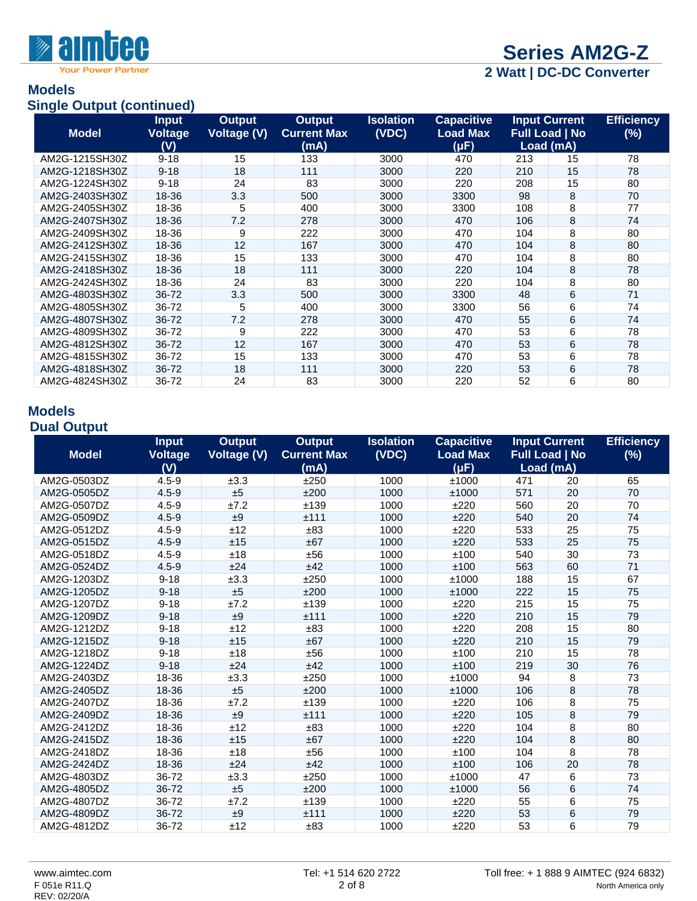

**Your Power Partner** 

**2 Watt | DC-DC Converter**

#### **Models Single Output (continued)**

| $\sim$ and $\sim$ $\sim$<br><b>Model</b> | <b>Input</b><br>Voltage<br>(V) | <b>Output</b><br><b>Voltage (V)</b> | <b>Output</b><br><b>Current Max</b><br>(mA) | Isolation<br>(VDC) | <b>Capacitive</b><br><b>Load Max</b><br>$(\mu F)$ |     | <b>Input Current</b><br><b>Full Load   No</b><br>Load (mA) | <b>Efficiency</b><br>$(\%)$ |
|------------------------------------------|--------------------------------|-------------------------------------|---------------------------------------------|--------------------|---------------------------------------------------|-----|------------------------------------------------------------|-----------------------------|
| AM2G-1215SH30Z                           | $9 - 18$                       | 15                                  | 133                                         | 3000               | 470                                               | 213 | 15                                                         | 78                          |
| AM2G-1218SH30Z                           | $9 - 18$                       | 18                                  | 111                                         | 3000               | 220                                               | 210 | 15                                                         | 78                          |
| AM2G-1224SH30Z                           | $9 - 18$                       | 24                                  | 83                                          | 3000               | 220                                               | 208 | 15                                                         | 80                          |
| AM2G-2403SH30Z                           | 18-36                          | 3.3                                 | 500                                         | 3000               | 3300                                              | 98  | 8                                                          | 70                          |
| AM2G-2405SH30Z                           | 18-36                          | 5                                   | 400                                         | 3000               | 3300                                              | 108 | 8                                                          | 77                          |
| AM2G-2407SH30Z                           | 18-36                          | 7.2                                 | 278                                         | 3000               | 470                                               | 106 | 8                                                          | 74                          |
| AM2G-2409SH30Z                           | 18-36                          | 9                                   | 222                                         | 3000               | 470                                               | 104 | 8                                                          | 80                          |
| AM2G-2412SH30Z                           | 18-36                          | 12                                  | 167                                         | 3000               | 470                                               | 104 | 8                                                          | 80                          |
| AM2G-2415SH30Z                           | 18-36                          | 15                                  | 133                                         | 3000               | 470                                               | 104 | 8                                                          | 80                          |
| AM2G-2418SH30Z                           | 18-36                          | 18                                  | 111                                         | 3000               | 220                                               | 104 | 8                                                          | 78                          |
| AM2G-2424SH30Z                           | 18-36                          | 24                                  | 83                                          | 3000               | 220                                               | 104 | 8                                                          | 80                          |
| AM2G-4803SH30Z                           | 36-72                          | 3.3                                 | 500                                         | 3000               | 3300                                              | 48  | 6                                                          | 71                          |
| AM2G-4805SH30Z                           | 36-72                          | 5                                   | 400                                         | 3000               | 3300                                              | 56  | 6                                                          | 74                          |
| AM2G-4807SH30Z                           | 36-72                          | 7.2                                 | 278                                         | 3000               | 470                                               | 55  | 6                                                          | 74                          |
| AM2G-4809SH30Z                           | 36-72                          | 9                                   | 222                                         | 3000               | 470                                               | 53  | 6                                                          | 78                          |
| AM2G-4812SH30Z                           | 36-72                          | 12                                  | 167                                         | 3000               | 470                                               | 53  | 6                                                          | 78                          |
| AM2G-4815SH30Z                           | 36-72                          | 15                                  | 133                                         | 3000               | 470                                               | 53  | 6                                                          | 78                          |
| AM2G-4818SH30Z                           | 36-72                          | 18                                  | 111                                         | 3000               | 220                                               | 53  | 6                                                          | 78                          |
| AM2G-4824SH30Z                           | 36-72                          | 24                                  | 83                                          | 3000               | 220                                               | 52  | 6                                                          | 80                          |

#### **Models Dual Output**

| <b>Model</b> | <b>Input</b><br><b>Voltage</b> | <b>Output</b><br><b>Voltage (V)</b> | <b>Output</b><br><b>Current Max</b> | <b>Isolation</b><br>(VDC) | <b>Capacitive</b><br><b>Load Max</b> |     | <b>Input Current</b><br><b>Full Load   No</b> | <b>Efficiency</b><br>$(\%)$ |
|--------------|--------------------------------|-------------------------------------|-------------------------------------|---------------------------|--------------------------------------|-----|-----------------------------------------------|-----------------------------|
|              | (V)                            |                                     | (mA)                                |                           | $(\mu F)$                            |     | Load (mA)                                     |                             |
| AM2G-0503DZ  | $4.5 - 9$                      | ±3.3                                | ±250                                | 1000                      | ±1000                                | 471 | 20                                            | 65                          |
| AM2G-0505DZ  | $4.5 - 9$                      | ±5                                  | ±200                                | 1000                      | ±1000                                | 571 | 20                                            | 70                          |
| AM2G-0507DZ  | $4.5 - 9$                      | ±7.2                                | ±139                                | 1000                      | ±220                                 | 560 | 20                                            | 70                          |
| AM2G-0509DZ  | $4.5 - 9$                      | ±9                                  | ±111                                | 1000                      | ±220                                 | 540 | 20                                            | 74                          |
| AM2G-0512DZ  | $4.5 - 9$                      | ±12                                 | ±83                                 | 1000                      | ±220                                 | 533 | 25                                            | 75                          |
| AM2G-0515DZ  | $4.5 - 9$                      | ±15                                 | ±67                                 | 1000                      | ±220                                 | 533 | 25                                            | 75                          |
| AM2G-0518DZ  | $4.5 - 9$                      | ±18                                 | ±56                                 | 1000                      | ±100                                 | 540 | 30                                            | 73                          |
| AM2G-0524DZ  | $4.5 - 9$                      | ±24                                 | ±42                                 | 1000                      | ±100                                 | 563 | 60                                            | 71                          |
| AM2G-1203DZ  | $9 - 18$                       | ±3.3                                | ±250                                | 1000                      | ±1000                                | 188 | 15                                            | 67                          |
| AM2G-1205DZ  | $9 - 18$                       | ±5                                  | ±200                                | 1000                      | ±1000                                | 222 | 15                                            | 75                          |
| AM2G-1207DZ  | $9 - 18$                       | ±7.2                                | ±139                                | 1000                      | ±220                                 | 215 | 15                                            | 75                          |
| AM2G-1209DZ  | $9 - 18$                       | ±9                                  | ±111                                | 1000                      | ±220                                 | 210 | 15                                            | 79                          |
| AM2G-1212DZ  | $9 - 18$                       | ±12                                 | ±83                                 | 1000                      | ±220                                 | 208 | 15                                            | 80                          |
| AM2G-1215DZ  | $9 - 18$                       | ±15                                 | ±67                                 | 1000                      | ±220                                 | 210 | 15                                            | 79                          |
| AM2G-1218DZ  | $9 - 18$                       | ±18                                 | ±56                                 | 1000                      | ±100                                 | 210 | 15                                            | 78                          |
| AM2G-1224DZ  | $9 - 18$                       | ±24                                 | ±42                                 | 1000                      | ±100                                 | 219 | 30                                            | 76                          |
| AM2G-2403DZ  | 18-36                          | ±3.3                                | ±250                                | 1000                      | ±1000                                | 94  | 8                                             | 73                          |
| AM2G-2405DZ  | 18-36                          | ±5                                  | ±200                                | 1000                      | ±1000                                | 106 | 8                                             | 78                          |
| AM2G-2407DZ  | 18-36                          | ±7.2                                | ±139                                | 1000                      | ±220                                 | 106 | 8                                             | 75                          |
| AM2G-2409DZ  | 18-36                          | ±9                                  | ±111                                | 1000                      | ±220                                 | 105 | 8                                             | 79                          |
| AM2G-2412DZ  | 18-36                          | ±12                                 | ±83                                 | 1000                      | ±220                                 | 104 | 8                                             | 80                          |
| AM2G-2415DZ  | 18-36                          | ±15                                 | ±67                                 | 1000                      | ±220                                 | 104 | 8                                             | 80                          |
| AM2G-2418DZ  | 18-36                          | ±18                                 | ±56                                 | 1000                      | ±100                                 | 104 | 8                                             | 78                          |
| AM2G-2424DZ  | 18-36                          | ±24                                 | ±42                                 | 1000                      | ±100                                 | 106 | 20                                            | 78                          |
| AM2G-4803DZ  | 36-72                          | ±3.3                                | ±250                                | 1000                      | ±1000                                | 47  | 6                                             | 73                          |
| AM2G-4805DZ  | 36-72                          | ±5                                  | ±200                                | 1000                      | ±1000                                | 56  | $6\overline{6}$                               | 74                          |
| AM2G-4807DZ  | 36-72                          | ±7.2                                | ±139                                | 1000                      | ±220                                 | 55  | 6                                             | 75                          |
| AM2G-4809DZ  | 36-72                          | ±9                                  | ±111                                | 1000                      | ±220                                 | 53  | 6                                             | 79                          |
| AM2G-4812DZ  | 36-72                          | ±12                                 | ±83                                 | 1000                      | ±220                                 | 53  | 6                                             | 79                          |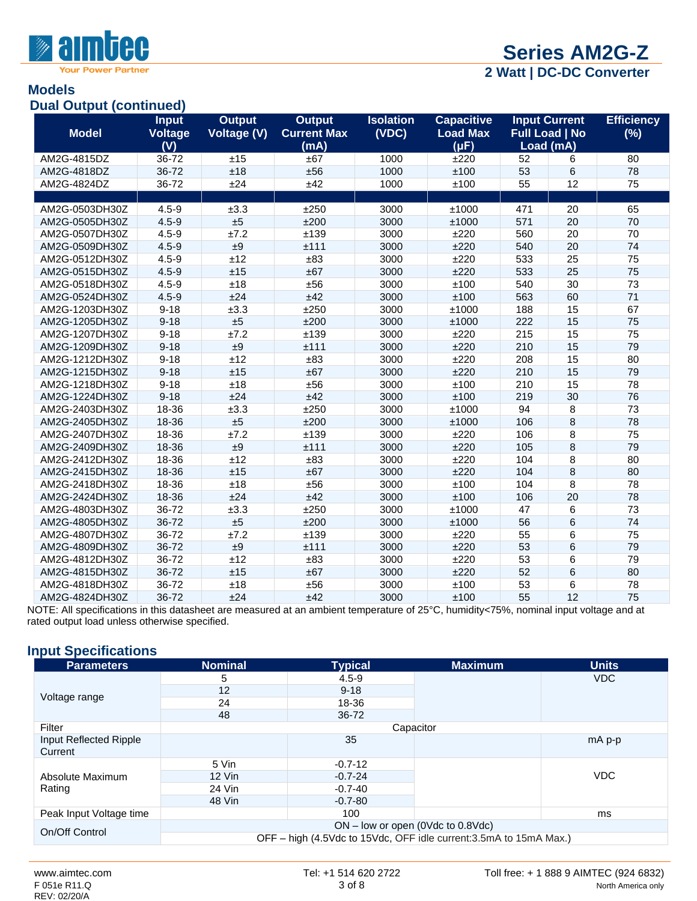

**Power Partner** 

# **[Series AM2G-Z](http://www.aimtec.com/am1d-z)**

**2 Watt | DC-DC Converter**

#### **Models Dual Output (continued)**

| Puul Puuput (<br><b>Model</b> | .<br><b>Input</b><br>Voltage<br>(V) | <b>Output</b><br><b>Voltage (V)</b> | <b>Output</b><br><b>Current Max</b><br>(mA) | <b>Isolation</b><br>(VDC) | <b>Capacitive</b><br><b>Load Max</b><br>(µF) |     | <b>Input Current</b><br><b>Full Load   No</b><br>Load (mA) | <b>Efficiency</b><br>(%) |
|-------------------------------|-------------------------------------|-------------------------------------|---------------------------------------------|---------------------------|----------------------------------------------|-----|------------------------------------------------------------|--------------------------|
| AM2G-4815DZ                   | 36-72                               | ±15                                 | ±67                                         | 1000                      | ±220                                         | 52  | 6                                                          | 80                       |
| AM2G-4818DZ                   | 36-72                               | ±18                                 | ±56                                         | 1000                      | ±100                                         | 53  | 6                                                          | 78                       |
| AM2G-4824DZ                   | 36-72                               | ±24                                 | ±42                                         | 1000                      | ±100                                         | 55  | 12                                                         | 75                       |
|                               |                                     |                                     |                                             |                           |                                              |     |                                                            |                          |
| AM2G-0503DH30Z                | $4.5 - 9$                           | ±3.3                                | ±250                                        | 3000                      | ±1000                                        | 471 | 20                                                         | 65                       |
| AM2G-0505DH30Z                | $4.5 - 9$                           | ±5                                  | ±200                                        | 3000                      | ±1000                                        | 571 | 20                                                         | 70                       |
| AM2G-0507DH30Z                | $4.5 - 9$                           | ±7.2                                | ±139                                        | 3000                      | ±220                                         | 560 | 20                                                         | 70                       |
| AM2G-0509DH30Z                | $4.5 - 9$                           | ±9                                  | ±111                                        | 3000                      | ±220                                         | 540 | 20                                                         | 74                       |
| AM2G-0512DH30Z                | $4.5 - 9$                           | ±12                                 | ±83                                         | 3000                      | ±220                                         | 533 | 25                                                         | 75                       |
| AM2G-0515DH30Z                | $4.5 - 9$                           | ±15                                 | ±67                                         | 3000                      | ±220                                         | 533 | 25                                                         | 75                       |
| AM2G-0518DH30Z                | $4.5 - 9$                           | ±18                                 | ±56                                         | 3000                      | ±100                                         | 540 | 30                                                         | 73                       |
| AM2G-0524DH30Z                | $4.5 - 9$                           | ±24                                 | ±42                                         | 3000                      | ±100                                         | 563 | 60                                                         | 71                       |
| AM2G-1203DH30Z                | $9 - 18$                            | ±3.3                                | ±250                                        | 3000                      | ±1000                                        | 188 | 15                                                         | 67                       |
| AM2G-1205DH30Z                | $9 - 18$                            | ±5                                  | ±200                                        | 3000                      | ±1000                                        | 222 | 15                                                         | 75                       |
| AM2G-1207DH30Z                | $9 - 18$                            | ±7.2                                | ±139                                        | 3000                      | ±220                                         | 215 | 15                                                         | 75                       |
| AM2G-1209DH30Z                | $9 - 18$                            | ±9                                  | ±111                                        | 3000                      | ±220                                         | 210 | 15                                                         | 79                       |
| AM2G-1212DH30Z                | $9 - 18$                            | ±12                                 | ±83                                         | 3000                      | ±220                                         | 208 | 15                                                         | 80                       |
| AM2G-1215DH30Z                | $9 - 18$                            | ±15                                 | ±67                                         | 3000                      | ±220                                         | 210 | 15                                                         | 79                       |
| AM2G-1218DH30Z                | $9 - 18$                            | ±18                                 | ±56                                         | 3000                      | ±100                                         | 210 | 15                                                         | 78                       |
| AM2G-1224DH30Z                | $9 - 18$                            | ±24                                 | ±42                                         | 3000                      | ±100                                         | 219 | 30                                                         | 76                       |
| AM2G-2403DH30Z                | 18-36                               | ±3.3                                | ±250                                        | 3000                      | ±1000                                        | 94  | 8                                                          | 73                       |
| AM2G-2405DH30Z                | 18-36                               | ±5                                  | ±200                                        | 3000                      | ±1000                                        | 106 | 8                                                          | 78                       |
| AM2G-2407DH30Z                | 18-36                               | ±7.2                                | ±139                                        | 3000                      | ±220                                         | 106 | 8                                                          | 75                       |
| AM2G-2409DH30Z                | 18-36                               | ±9                                  | ±111                                        | 3000                      | ±220                                         | 105 | $\overline{8}$                                             | 79                       |
| AM2G-2412DH30Z                | 18-36                               | ±12                                 | ±83                                         | 3000                      | ±220                                         | 104 | 8                                                          | 80                       |
| AM2G-2415DH30Z                | 18-36                               | ±15                                 | ±67                                         | 3000                      | ±220                                         | 104 | 8                                                          | 80                       |
| AM2G-2418DH30Z                | 18-36                               | ±18                                 | ±56                                         | 3000                      | ±100                                         | 104 | 8                                                          | 78                       |
| AM2G-2424DH30Z                | 18-36                               | ±24                                 | ±42                                         | 3000                      | ±100                                         | 106 | 20                                                         | 78                       |
| AM2G-4803DH30Z                | 36-72                               | ±3.3                                | ±250                                        | 3000                      | ±1000                                        | 47  | $6\phantom{1}6$                                            | 73                       |
| AM2G-4805DH30Z                | 36-72                               | ±5                                  | ±200                                        | 3000                      | ±1000                                        | 56  | 6                                                          | 74                       |
| AM2G-4807DH30Z                | 36-72                               | ±7.2                                | ±139                                        | 3000                      | ±220                                         | 55  | 6                                                          | 75                       |
| AM2G-4809DH30Z                | 36-72                               | ±9                                  | ±111                                        | 3000                      | ±220                                         | 53  | $6\overline{6}$                                            | 79                       |
| AM2G-4812DH30Z                | 36-72                               | ±12                                 | ±83                                         | 3000                      | ±220                                         | 53  | $6\overline{6}$                                            | 79                       |
| AM2G-4815DH30Z                | 36-72                               | ±15                                 | ±67                                         | 3000                      | ±220                                         | 52  | $6\phantom{1}6$                                            | 80                       |
| AM2G-4818DH30Z                | 36-72                               | ±18                                 | ±56                                         | 3000                      | ±100                                         | 53  | 6                                                          | 78                       |
| AM2G-4824DH30Z                | 36-72                               | ±24                                 | ±42                                         | 3000                      | ±100                                         | 55  | 12                                                         | 75                       |

NOTE: All specifications in this datasheet are measured at an ambient temperature of 25°C, humidity<75%, nominal input voltage and at rated output load unless otherwise specified.

# **Input Specifications**

| <b>Parameters</b>                 | <b>Nominal</b>                      | <b>Typical</b>                                                     | <b>Maximum</b> | <b>Units</b> |  |  |  |
|-----------------------------------|-------------------------------------|--------------------------------------------------------------------|----------------|--------------|--|--|--|
|                                   | 5                                   | $4.5 - 9$                                                          |                | VDC.         |  |  |  |
|                                   | 12                                  | $9 - 18$                                                           |                |              |  |  |  |
| Voltage range                     | 24                                  | 18-36                                                              |                |              |  |  |  |
|                                   | 48                                  | 36-72                                                              |                |              |  |  |  |
| Filter                            |                                     | Capacitor                                                          |                |              |  |  |  |
| Input Reflected Ripple<br>Current |                                     | 35                                                                 |                | mA p-p       |  |  |  |
|                                   | 5 Vin                               | $-0.7-12$                                                          |                |              |  |  |  |
| Absolute Maximum                  | $12$ Vin                            | $-0.7 - 24$                                                        |                | <b>VDC</b>   |  |  |  |
| Rating                            | 24 Vin                              | $-0.7 - 40$                                                        |                |              |  |  |  |
|                                   | 48 Vin                              | $-0.7-80$                                                          |                |              |  |  |  |
| Peak Input Voltage time           |                                     | 100                                                                |                | ms           |  |  |  |
| On/Off Control                    | $ON$ – low or open (0Vdc to 0.8Vdc) |                                                                    |                |              |  |  |  |
|                                   |                                     | OFF – high (4.5Vdc to 15Vdc, OFF idle current: 3.5mA to 15mA Max.) |                |              |  |  |  |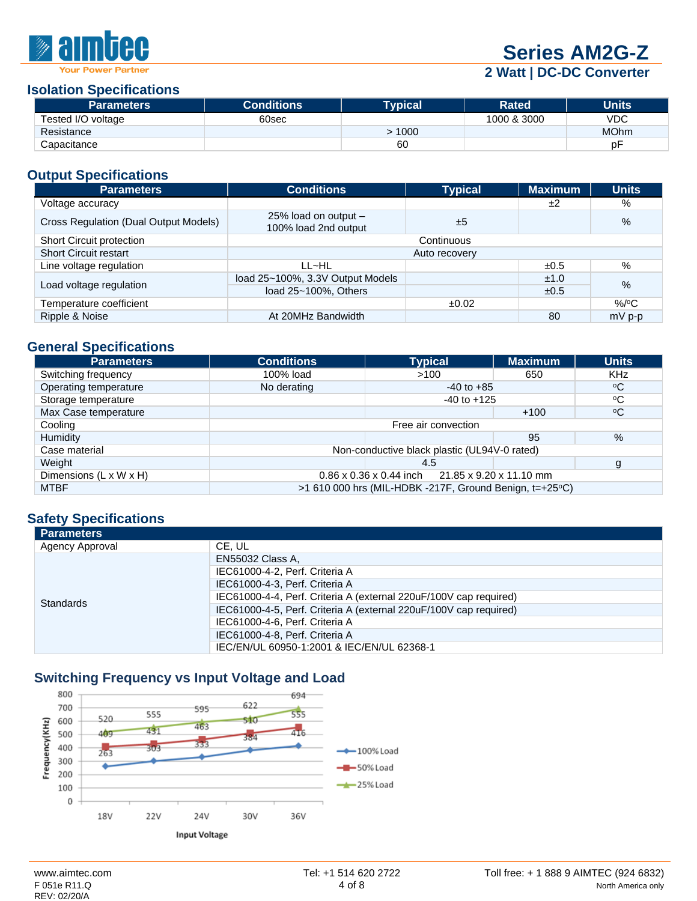

# **[Series AM2G-Z](http://www.aimtec.com/am1d-z)**

**2 Watt | DC-DC Converter**

#### **Isolation Specifications**

| <b>Parameters</b>  | <b>Conditions</b> | Tvpical\ | Rated       | Units       |
|--------------------|-------------------|----------|-------------|-------------|
| Tested I/O voltage | 60sec             |          | 1000 & 3000 | VDC         |
| Resistance         |                   | $-1000$  |             | <b>MOhm</b> |
| Capacitance        |                   | 60       |             | рF          |

### **Output Specifications**

| <b>Parameters</b>                     | <b>Conditions</b>                            | <b>Typical</b> | <b>Maximum</b> | <b>Units</b> |  |  |  |
|---------------------------------------|----------------------------------------------|----------------|----------------|--------------|--|--|--|
| Voltage accuracy                      |                                              |                | ±2             | %            |  |  |  |
| Cross Regulation (Dual Output Models) | 25% load on output -<br>100% load 2nd output | ±5             |                | $\%$         |  |  |  |
| Short Circuit protection              | Continuous                                   |                |                |              |  |  |  |
| <b>Short Circuit restart</b>          | Auto recovery                                |                |                |              |  |  |  |
| Line voltage regulation               | LL~HL                                        |                | ±0.5           | %            |  |  |  |
|                                       | load 25~100%, 3.3V Output Models             |                | ±1.0           | $\%$         |  |  |  |
| Load voltage regulation               | load 25~100%, Others<br>±0.5                 |                |                |              |  |  |  |
| Temperature coefficient               |                                              | ±0.02          |                | $\%$ /°C     |  |  |  |
| Ripple & Noise                        | At 20MHz Bandwidth                           |                | 80             | $mV$ p-p     |  |  |  |

# **General Specifications**

| <b>Parameters</b>      | <b>Conditions</b>                                              | <b>Typical</b>                                          | <b>Maximum</b> | <b>Units</b>    |  |  |  |
|------------------------|----------------------------------------------------------------|---------------------------------------------------------|----------------|-----------------|--|--|--|
| Switching frequency    | 100% load                                                      | >100                                                    | 650            | <b>KHz</b>      |  |  |  |
| Operating temperature  | No derating                                                    | $-40$ to $+85$                                          |                | $\rm ^{o}C$     |  |  |  |
| Storage temperature    |                                                                | $-40$ to $+125$                                         |                | °C              |  |  |  |
| Max Case temperature   |                                                                |                                                         | $+100$         | $\rm ^{\circ}C$ |  |  |  |
| Cooling                |                                                                | Free air convection                                     |                |                 |  |  |  |
| Humidity               |                                                                |                                                         | 95             | $\%$            |  |  |  |
| Case material          |                                                                | Non-conductive black plastic (UL94V-0 rated)            |                |                 |  |  |  |
| Weight                 |                                                                | 4.5                                                     |                | g               |  |  |  |
| Dimensions (L x W x H) | 21.85 x 9.20 x 11.10 mm<br>$0.86 \times 0.36 \times 0.44$ inch |                                                         |                |                 |  |  |  |
| <b>MTBF</b>            |                                                                | >1 610 000 hrs (MIL-HDBK -217F, Ground Benign, t=+25°C) |                |                 |  |  |  |

### **Safety Specifications**

| <b>Parameters</b> |                                                                   |
|-------------------|-------------------------------------------------------------------|
| Agency Approval   | CE. UL                                                            |
|                   | <b>EN55032 Class A.</b>                                           |
|                   | IEC61000-4-2, Perf. Criteria A                                    |
|                   | IEC61000-4-3, Perf. Criteria A                                    |
| <b>Standards</b>  | IEC61000-4-4, Perf. Criteria A (external 220uF/100V cap required) |
|                   | IEC61000-4-5, Perf. Criteria A (external 220uF/100V cap required) |
|                   | IEC61000-4-6, Perf. Criteria A                                    |
|                   | IEC61000-4-8, Perf. Criteria A                                    |
|                   | IEC/EN/UL 60950-1:2001 & IEC/EN/UL 62368-1                        |

# **Switching Frequency vs Input Voltage and Load**

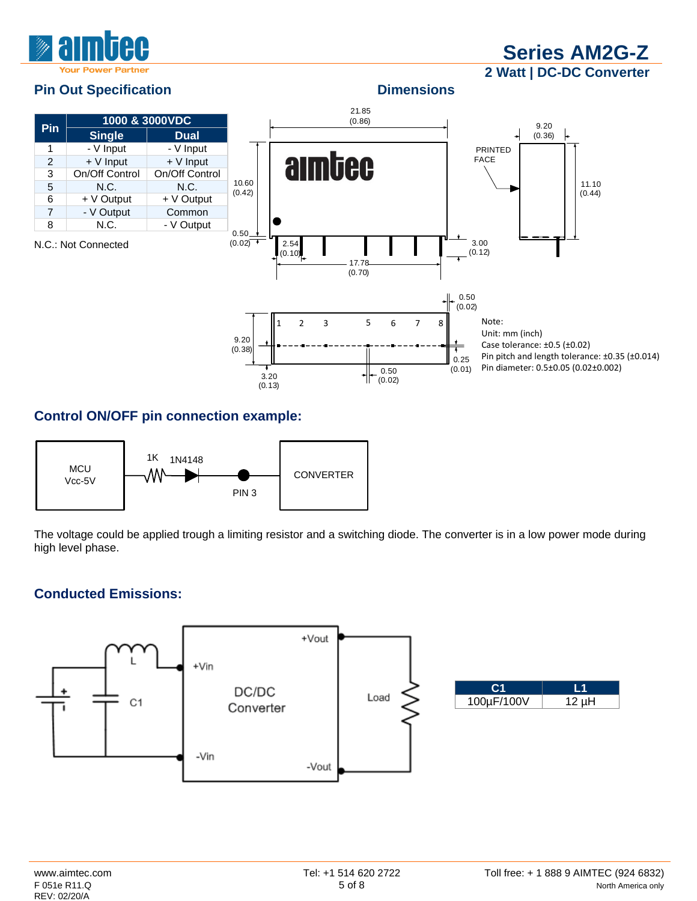

**[Series AM2G-Z](http://www.aimtec.com/am1d-z) 2 Watt | DC-DC Converter**

## **Pin Out Specification Dimensions**



## **Control ON/OFF pin connection example:**



The voltage could be applied trough a limiting resistor and a switching diode. The converter is in a low power mode during high level phase.

# **Conducted Emissions:**

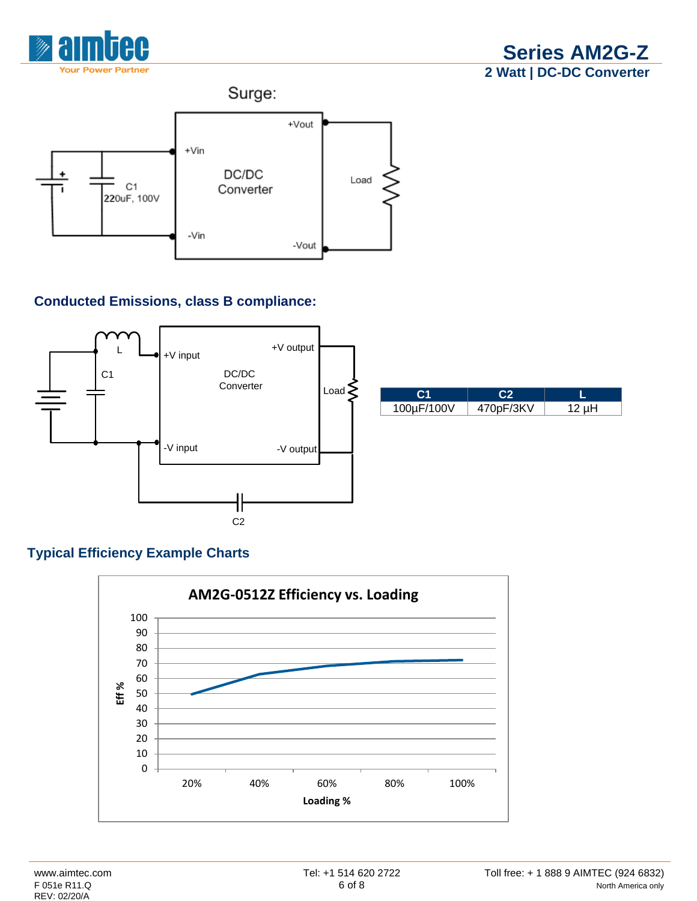



# **Conducted Emissions, class B compliance:**



# **Typical Efficiency Example Charts**

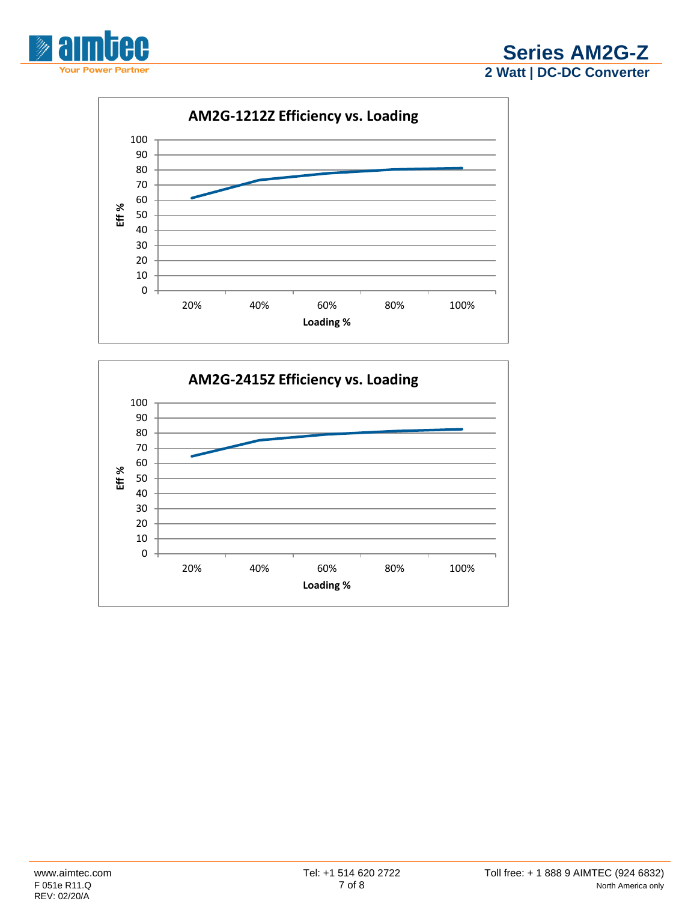

**[Series AM2G-Z](http://www.aimtec.com/am1d-z) Watt | DC-DC Converter**